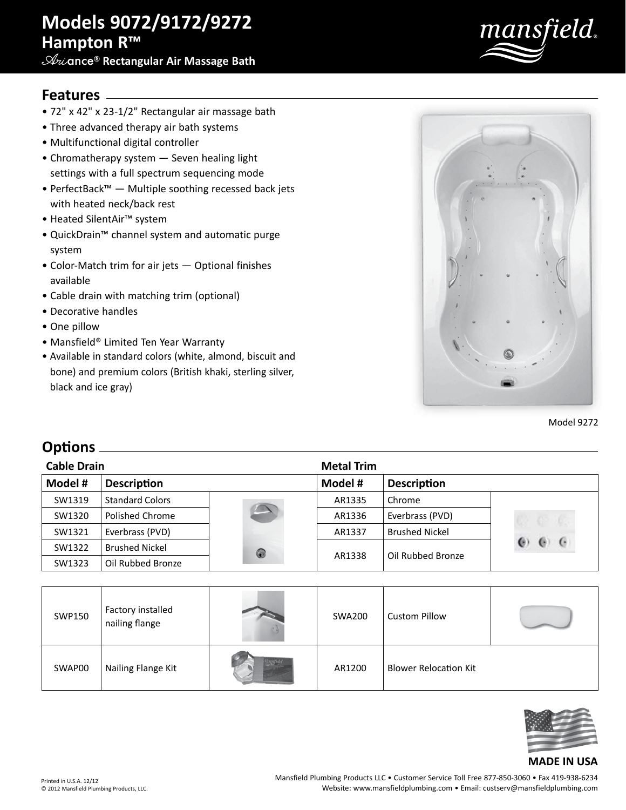# **Models 9072/9172/9272 Hampton R™**

**Ari**ance® **Rectangular Air Massage Bath**



### **Features**

- 72" x 42" x 23-1/2" Rectangular air massage bath
- Three advanced therapy air bath systems
- Multifunctional digital controller
- Chromatherapy system Seven healing light settings with a full spectrum sequencing mode
- PerfectBack™ Multiple soothing recessed back jets with heated neck/back rest
- Heated SilentAir™ system
- QuickDrain™ channel system and automatic purge system
- Color-Match trim for air jets Optional finishes available
- Cable drain with matching trim (optional)
- Decorative handles
- One pillow
- Mansfield® Limited Ten Year Warranty
- Available in standard colors (white, almond, biscuit and bone) and premium colors (British khaki, sterling silver, black and ice gray)



Model 9272

### **Options**

| <b>Cable Drain</b> |                        |   | <b>Metal Trim</b> |                       |                 |
|--------------------|------------------------|---|-------------------|-----------------------|-----------------|
| Model #            | <b>Description</b>     |   | Model #           | Description           |                 |
| SW1319             | <b>Standard Colors</b> |   | AR1335            | Chrome                |                 |
| SW1320             | Polished Chrome        |   | AR1336            | Everbrass (PVD)       |                 |
| SW1321             | Everbrass (PVD)        |   | AR1337            | <b>Brushed Nickel</b> |                 |
| SW1322             | <b>Brushed Nickel</b>  | 0 | AR1338            | Oil Rubbed Bronze     | $\epsilon$<br>0 |
| SW1323             | Oil Rubbed Bronze      |   |                   |                       |                 |

| SWP150 | Factory installed<br>nailing flange | <b>SWA200</b> | <b>Custom Pillow</b>         |  |
|--------|-------------------------------------|---------------|------------------------------|--|
| SWAP00 | Nailing Flange Kit                  | AR1200        | <b>Blower Relocation Kit</b> |  |



#### **MADE IN USA**